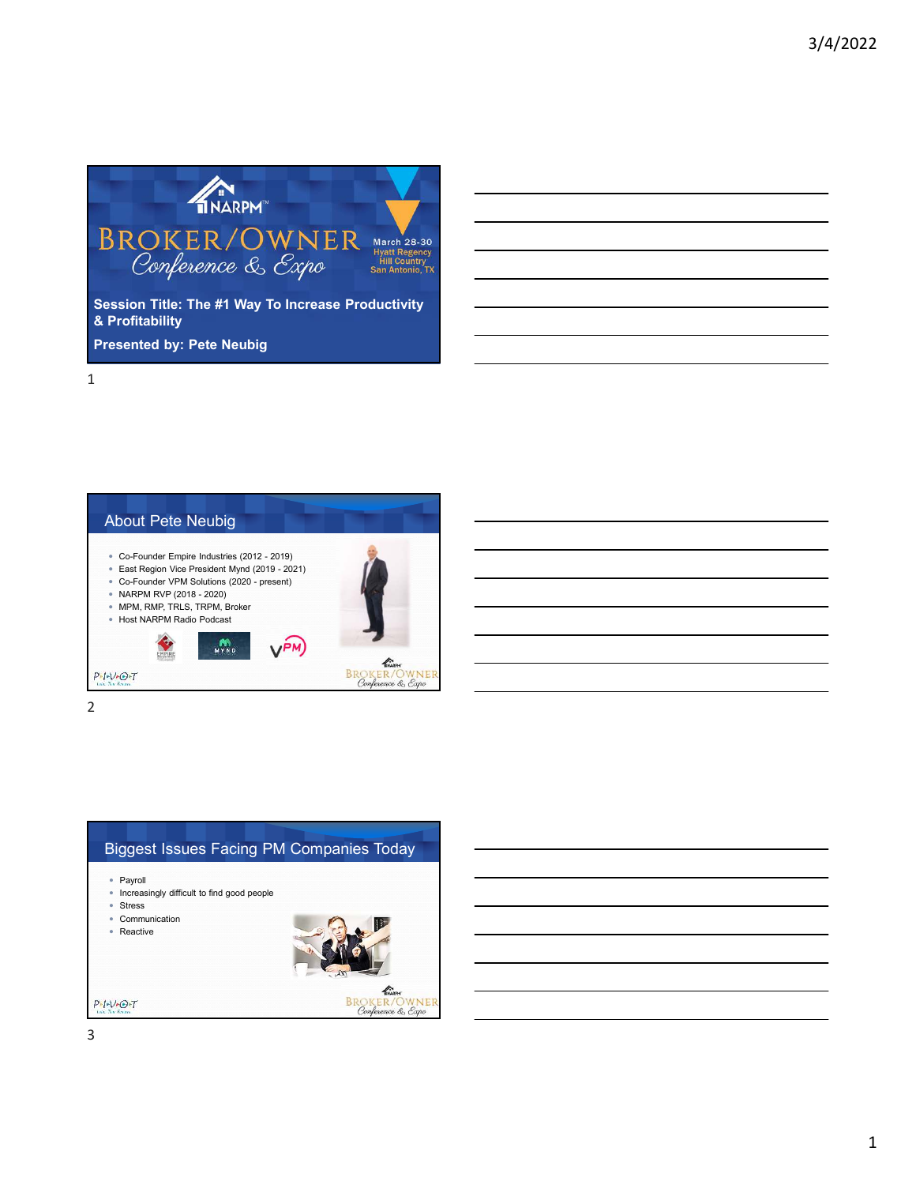

About Pete Neubig Co-Founder Empire Industries (2012 - 2019) East Region Vice President Mynd (2019 - 2021) Co-Founder VPM Solutions (2020 - present) NARPM RVP (2018 - 2020) MPM, RMP, TRLS, TRPM, Broker Host NARPM Radio Podcast  $m_{\nu}$  $V^{PM}$ BROKER/OWNE<br>Conference & Expo WNER  $P-f-V+O+T$ 

Biggest Issues Facing PM Companies Today • Payroll • Increasingly difficult to find good people • Stress • Communication • Reactive  $P - I - V - O - T$ **BROKER/OWNER**<br>Conference & Expo

3

1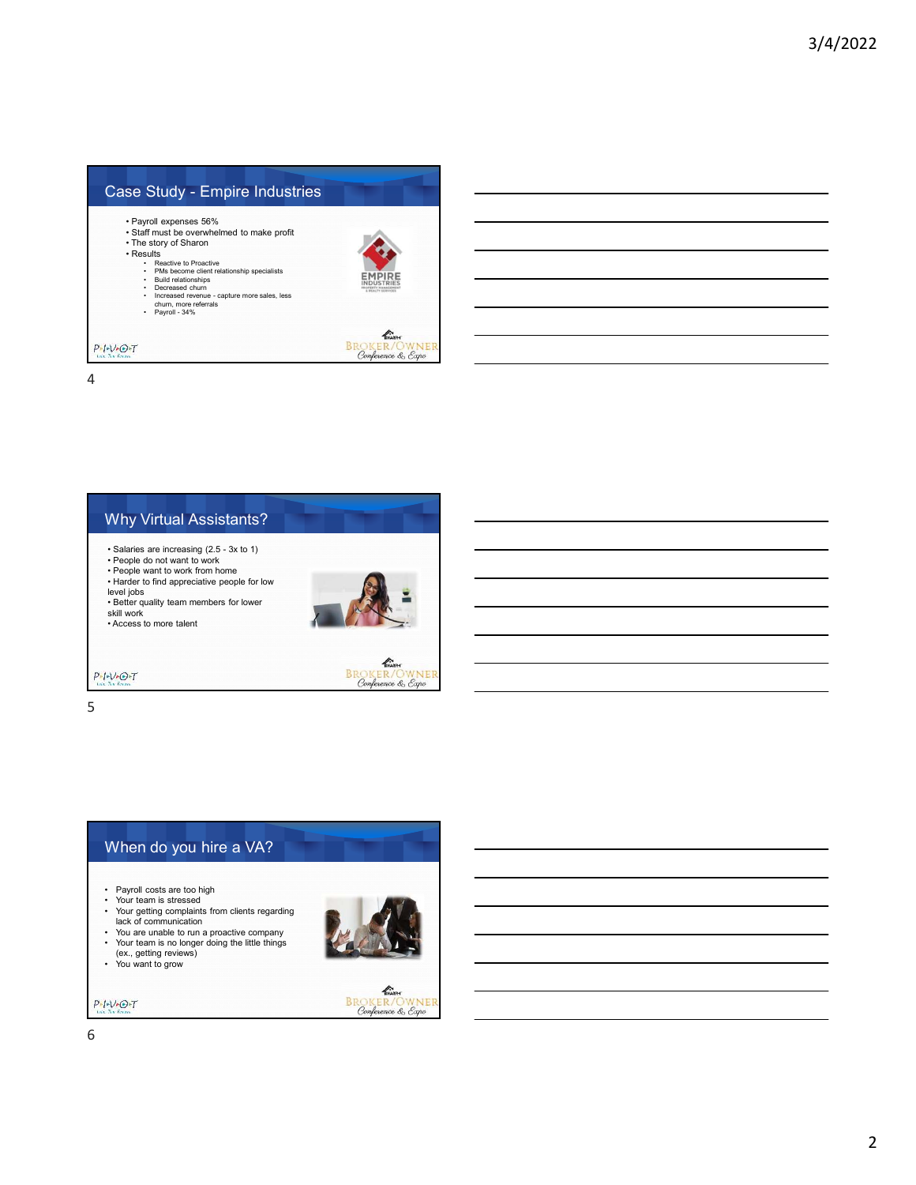| Case Study - Empire Industries                                                                                                                                                                                                                                                                                                              |                             |
|---------------------------------------------------------------------------------------------------------------------------------------------------------------------------------------------------------------------------------------------------------------------------------------------------------------------------------------------|-----------------------------|
| • Payroll expenses 56%<br>• Staff must be overwhelmed to make profit<br>• The story of Sharon<br>• Results<br>• Reactive to Proactive<br>PMs become client relationship specialists<br><b>Build relationships</b><br>Decreased churn<br>Increased revenue - capture more sales, less<br>$\bullet$<br>churn, more referrals<br>Payroll - 34% |                             |
| $P - I - V - O + T$<br>Life, The Ferritt                                                                                                                                                                                                                                                                                                    | KNADDA<br>Conference & Expo |



5

## When do you hire a VA?

- Payroll costs are too high Your team is stressed
- Your getting complaints from clients regarding lack of communication
- You are unable to run a proactive company Your team is no longer doing the little things (ex., getting reviews) You want to grow
- 
- 



**ENGLISHER**<br>BROKER/OWNER<br>Conference & Expo

6

 $\frac{p_{\ast} p_{\ast} p_{\ast}}{\tan\pi\sin\theta}$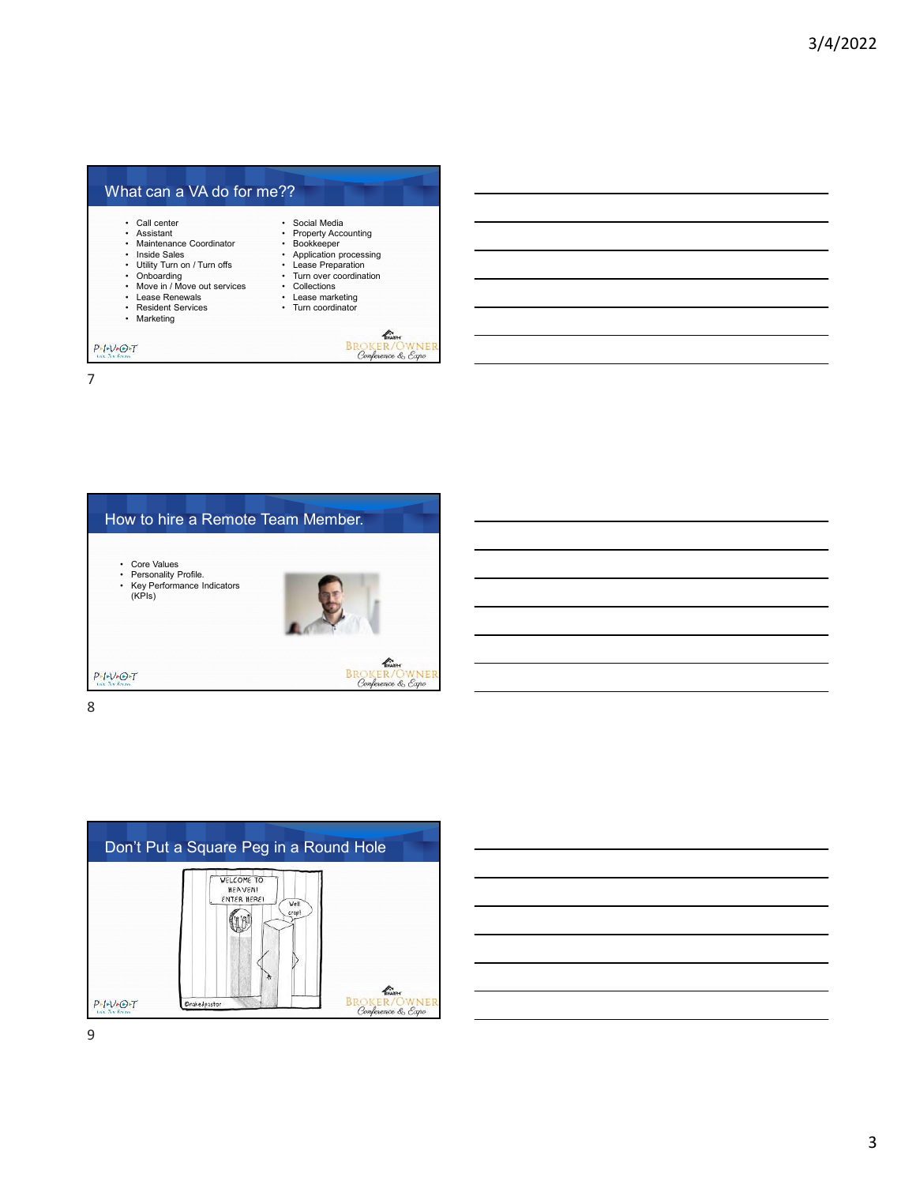







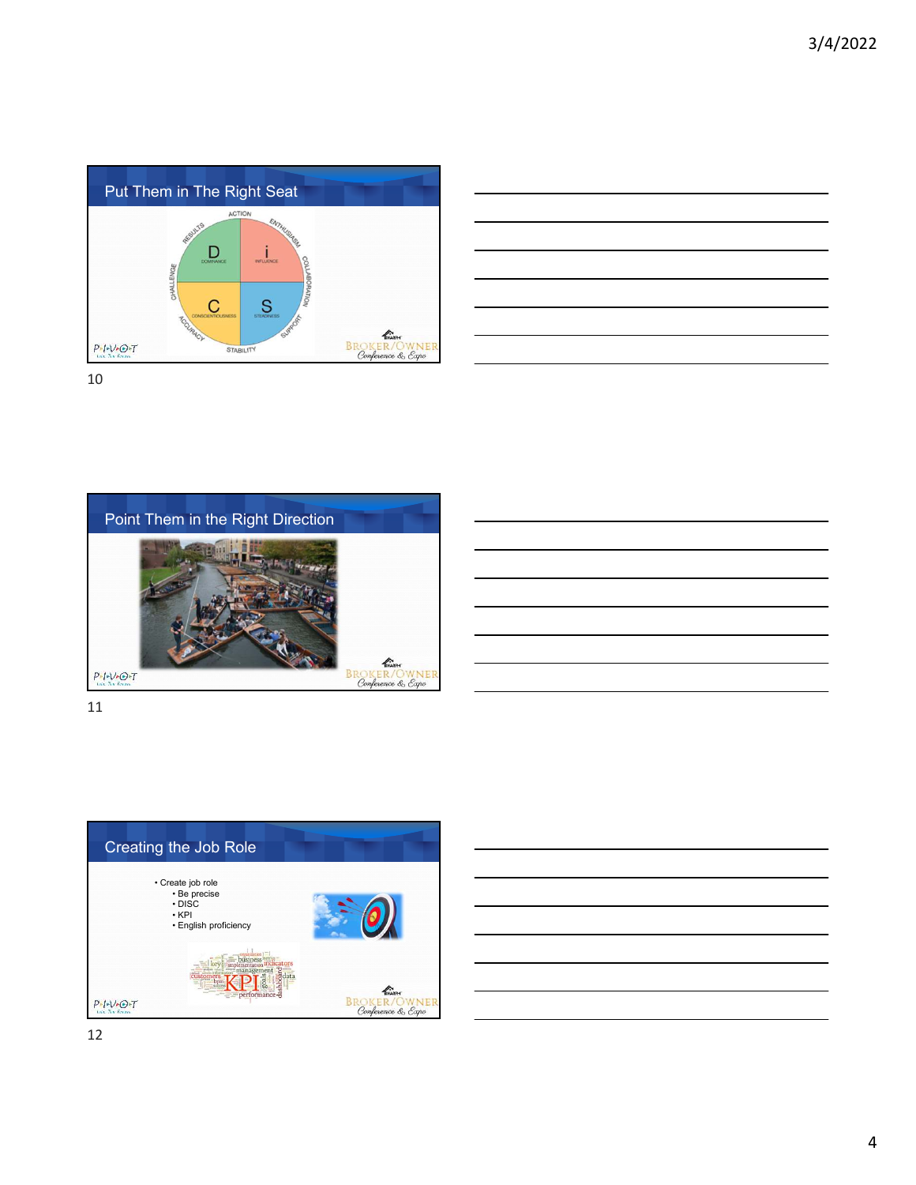





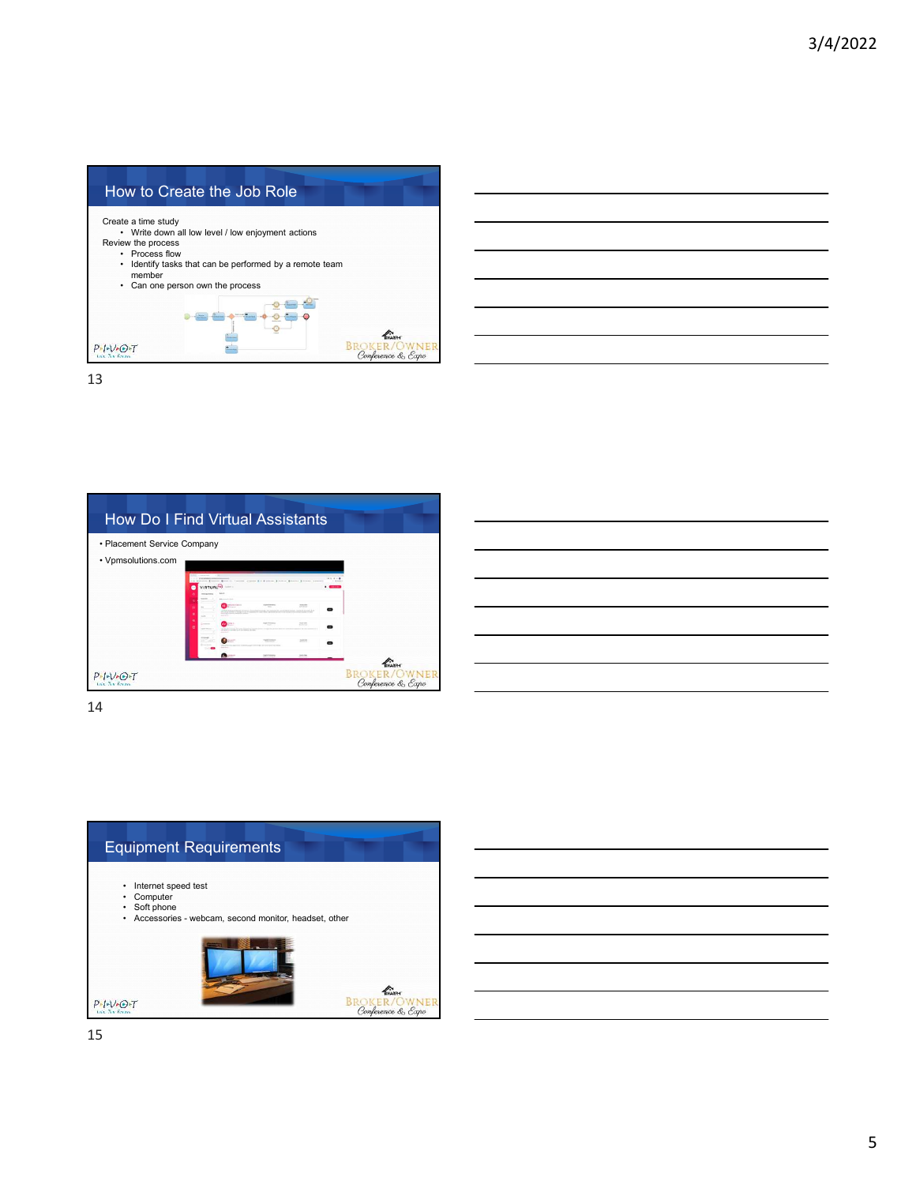





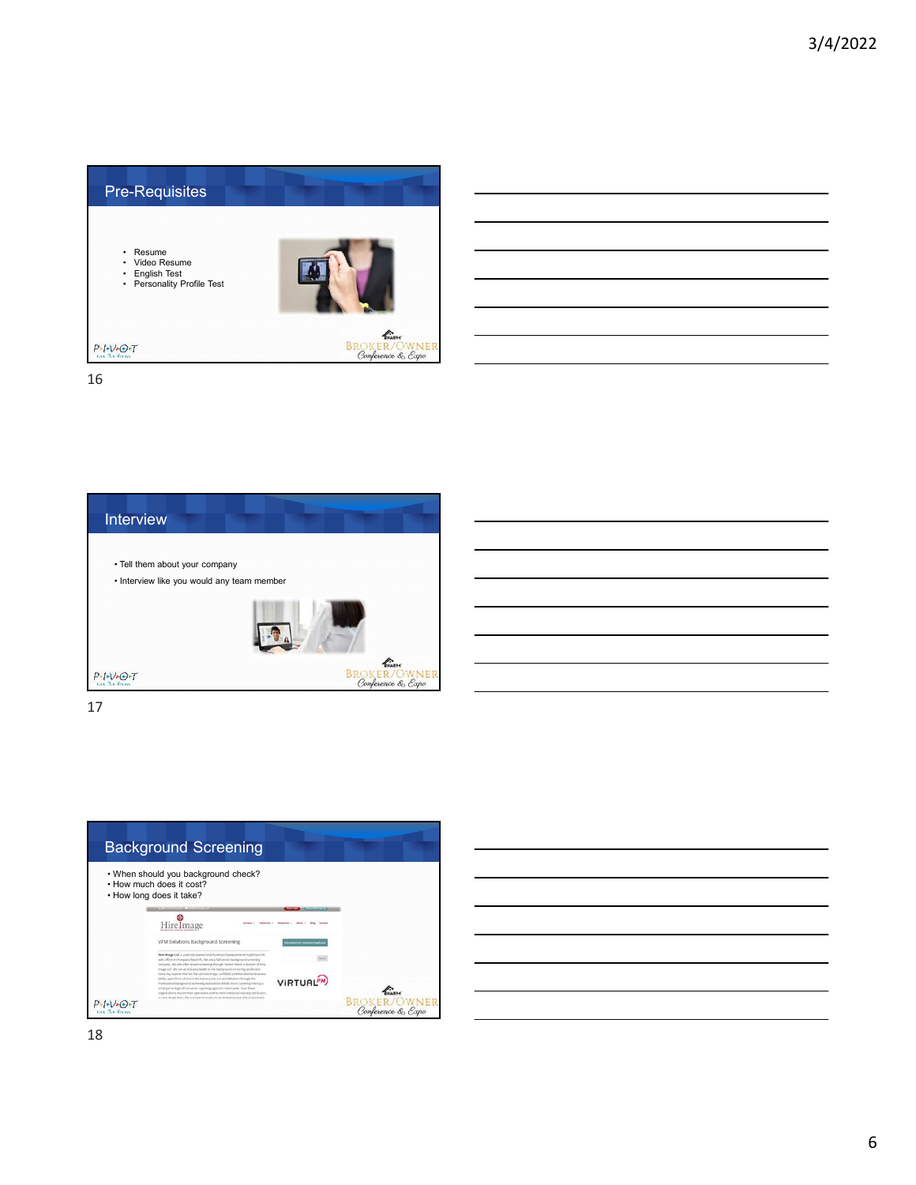



17

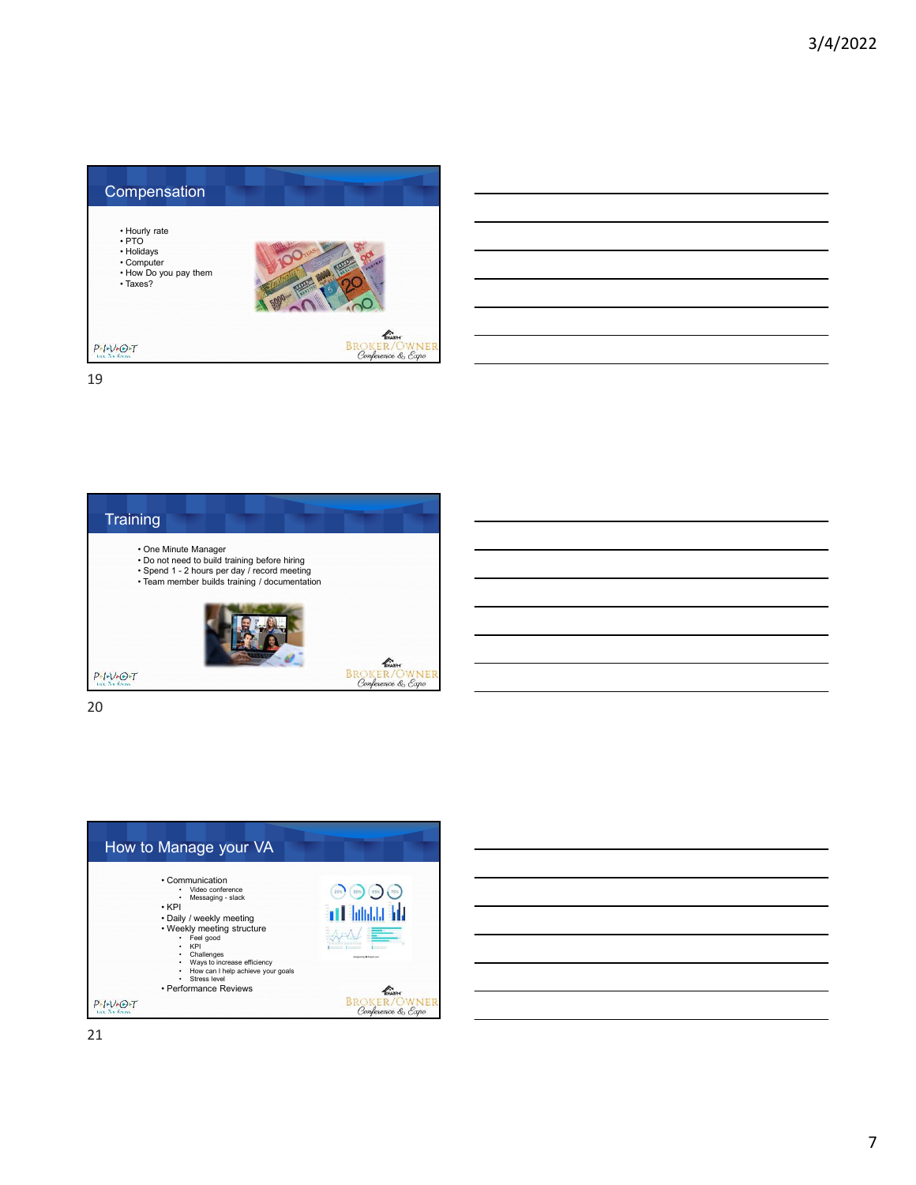



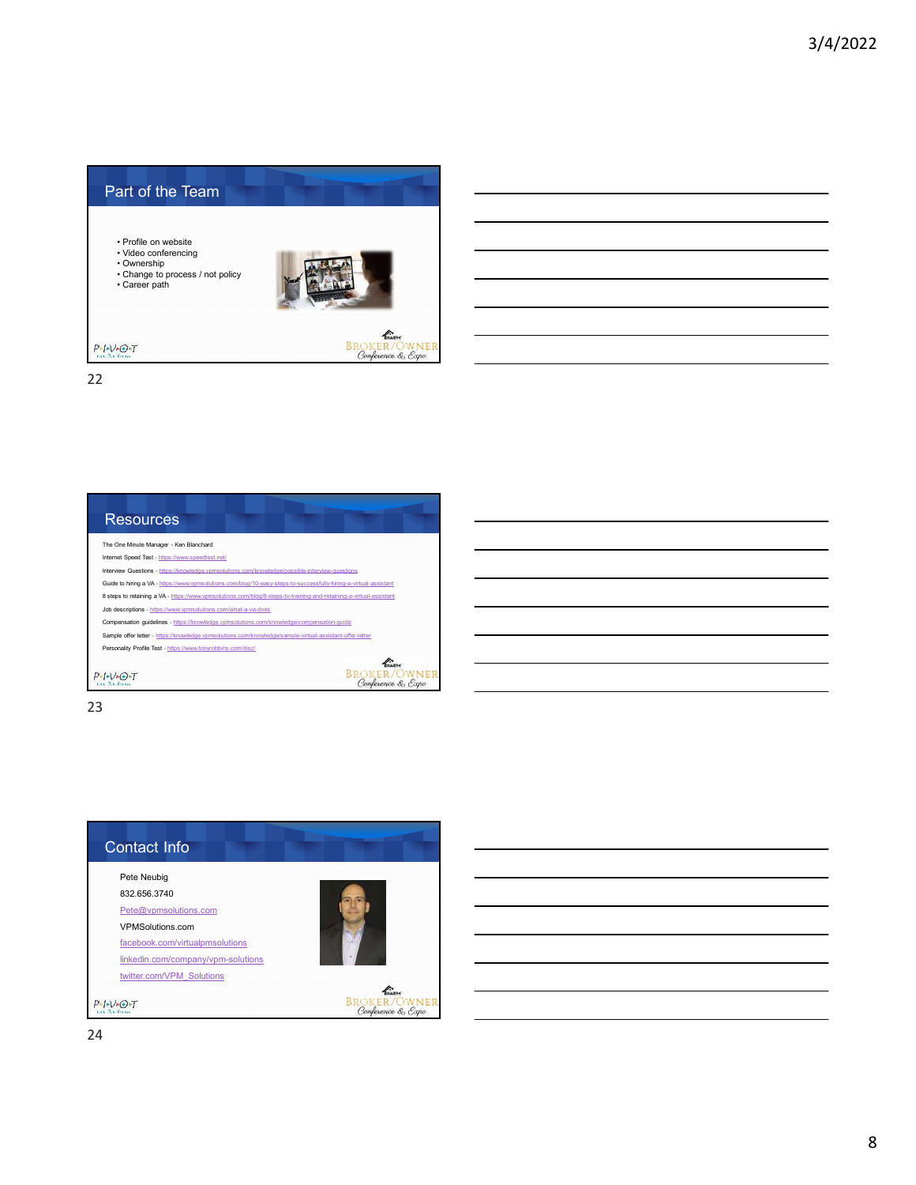